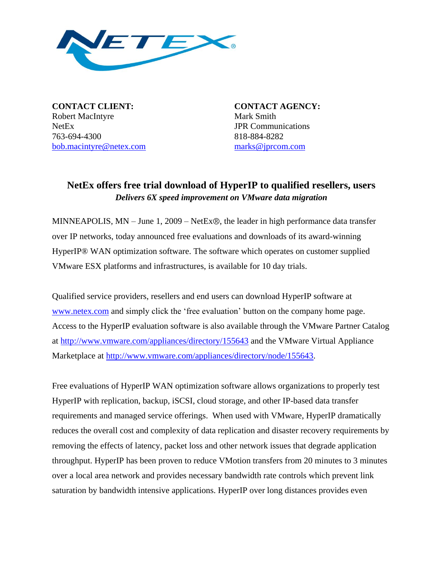

**CONTACT CLIENT: CONTACT AGENCY:** Robert MacIntyre Mark Smith NetEx JPR Communications 763-694-4300 818-884-8282 [bob.macintyre@netex.com](mailto:bob.macintyre@netex.com) [marks@jprcom.com](mailto:marks@jprcom.com)

## **NetEx offers free trial download of HyperIP to qualified resellers, users** *Delivers 6X speed improvement on VMware data migration*

MINNEAPOLIS,  $MN - June 1$ ,  $2009 - NetEx\circledR$ , the leader in high performance data transfer over IP networks, today announced free evaluations and downloads of its award-winning HyperIP® WAN optimization software. The software which operates on customer supplied VMware ESX platforms and infrastructures, is available for 10 day trials.

Qualified service providers, resellers and end users can download HyperIP software at [www.netex.com](http://www.netex.com/) and simply click the "free evaluation" button on the company home page. Access to the HyperIP evaluation software is also available through the VMware Partner Catalog at<http://www.vmware.com/appliances/directory/155643> and the VMware Virtual Appliance Marketplace at [http://www.vmware.com/appliances/directory/node/155643.](http://www.vmware.com/appliances/directory/node/155643)

Free evaluations of HyperIP WAN optimization software allows organizations to properly test HyperIP with replication, backup, iSCSI, cloud storage, and other IP-based data transfer requirements and managed service offerings. When used with VMware, HyperIP dramatically reduces the overall cost and complexity of data replication and disaster recovery requirements by removing the effects of latency, packet loss and other network issues that degrade application throughput. HyperIP has been proven to reduce VMotion transfers from 20 minutes to 3 minutes over a local area network and provides necessary bandwidth rate controls which prevent link saturation by bandwidth intensive applications. HyperIP over long distances provides even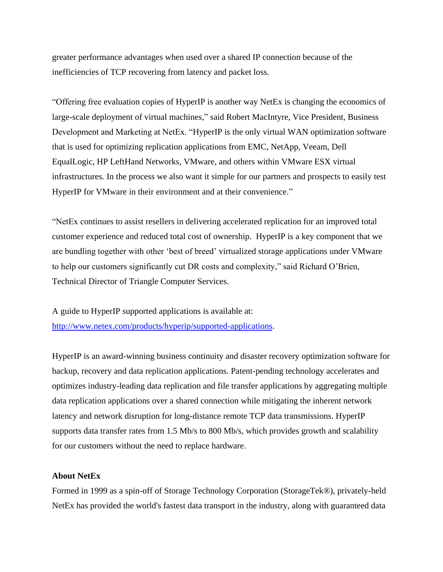greater performance advantages when used over a shared IP connection because of the inefficiencies of TCP recovering from latency and packet loss.

"Offering free evaluation copies of HyperIP is another way NetEx is changing the economics of large-scale deployment of virtual machines," said Robert MacIntyre, Vice President, Business Development and Marketing at NetEx. "HyperIP is the only virtual WAN optimization software that is used for optimizing replication applications from EMC, NetApp, Veeam, Dell EqualLogic, HP LeftHand Networks, VMware, and others within VMware ESX virtual infrastructures. In the process we also want it simple for our partners and prospects to easily test HyperIP for VMware in their environment and at their convenience."

"NetEx continues to assist resellers in delivering accelerated replication for an improved total customer experience and reduced total cost of ownership. HyperIP is a key component that we are bundling together with other "best of breed" virtualized storage applications under VMware to help our customers significantly cut DR costs and complexity," said Richard O"Brien, Technical Director of Triangle Computer Services.

A guide to HyperIP supported applications is available at: [http://www.netex.com/products/hyperip/supported-applications.](http://www.netex.com/products/hyperip/supported-applications)

HyperIP is an award-winning business continuity and disaster recovery optimization software for backup, recovery and data replication applications. Patent-pending technology accelerates and optimizes industry-leading data replication and file transfer applications by aggregating multiple data replication applications over a shared connection while mitigating the inherent network latency and network disruption for long-distance remote TCP data transmissions. HyperIP supports data transfer rates from 1.5 Mb/s to 800 Mb/s, which provides growth and scalability for our customers without the need to replace hardware.

## **About NetEx**

Formed in 1999 as a spin-off of Storage Technology Corporation (StorageTek®), privately-held NetEx has provided the world's fastest data transport in the industry, along with guaranteed data